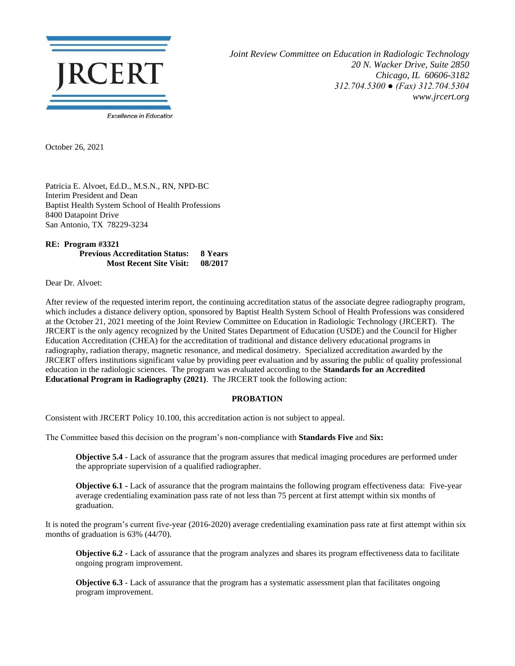

*Joint Review Committee on Education in Radiologic Technology 20 N. Wacker Drive, Suite 2850 Chicago, IL 60606-3182 312.704.5300 ● (Fax) 312.704.5304 www.jrcert.org*

October 26, 2021

Patricia E. Alvoet, Ed.D., M.S.N., RN, NPD-BC Interim President and Dean Baptist Health System School of Health Professions 8400 Datapoint Drive San Antonio, TX 78229-3234

**RE: Program #3321 Previous Accreditation Status: 8 Years Most Recent Site Visit: 08/2017**

Dear Dr. Alvoet:

After review of the requested interim report, the continuing accreditation status of the associate degree radiography program, which includes a distance delivery option, sponsored by Baptist Health System School of Health Professions was considered at the October 21, 2021 meeting of the Joint Review Committee on Education in Radiologic Technology (JRCERT). The JRCERT is the only agency recognized by the United States Department of Education (USDE) and the Council for Higher Education Accreditation (CHEA) for the accreditation of traditional and distance delivery educational programs in radiography, radiation therapy, magnetic resonance, and medical dosimetry. Specialized accreditation awarded by the JRCERT offers institutions significant value by providing peer evaluation and by assuring the public of quality professional education in the radiologic sciences. The program was evaluated according to the **Standards for an Accredited Educational Program in Radiography (2021)**. The JRCERT took the following action:

## **PROBATION**

Consistent with JRCERT Policy 10.100, this accreditation action is not subject to appeal.

The Committee based this decision on the program's non-compliance with **Standards Five** and **Six:**

**Objective 5.4 -** Lack of assurance that the program assures that medical imaging procedures are performed under the appropriate supervision of a qualified radiographer.

**Objective 6.1 -** Lack of assurance that the program maintains the following program effectiveness data: Five-year average credentialing examination pass rate of not less than 75 percent at first attempt within six months of graduation.

It is noted the program's current five-year (2016-2020) average credentialing examination pass rate at first attempt within six months of graduation is 63% (44/70).

**Objective 6.2 -** Lack of assurance that the program analyzes and shares its program effectiveness data to facilitate ongoing program improvement.

**Objective 6.3** - Lack of assurance that the program has a systematic assessment plan that facilitates ongoing program improvement.